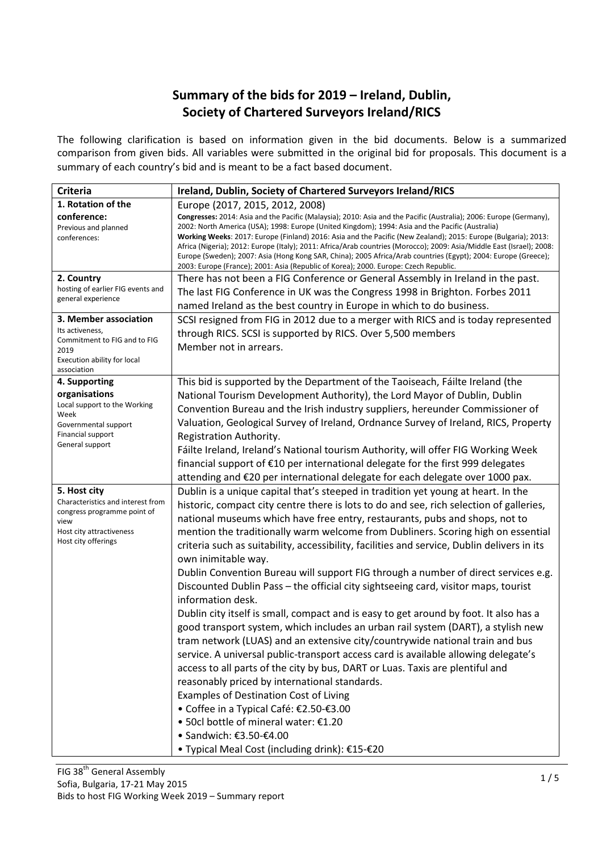## Summary of the bids for 2019 – Ireland, Dublin, Society of Chartered Surveyors Ireland/RICS

The following clarification is based on information given in the bid documents. Below is a summarized comparison from given bids. All variables were submitted in the original bid for proposals. This document is a summary of each country's bid and is meant to be a fact based document.

| <b>Criteria</b>                                                                                                                | Ireland, Dublin, Society of Chartered Surveyors Ireland/RICS                                                                                                                                                                                                                                                                                                                                                                                                                                                                                                                                                                                                                |
|--------------------------------------------------------------------------------------------------------------------------------|-----------------------------------------------------------------------------------------------------------------------------------------------------------------------------------------------------------------------------------------------------------------------------------------------------------------------------------------------------------------------------------------------------------------------------------------------------------------------------------------------------------------------------------------------------------------------------------------------------------------------------------------------------------------------------|
| 1. Rotation of the                                                                                                             | Europe (2017, 2015, 2012, 2008)                                                                                                                                                                                                                                                                                                                                                                                                                                                                                                                                                                                                                                             |
| conference:<br>Previous and planned<br>conferences:                                                                            | Congresses: 2014: Asia and the Pacific (Malaysia); 2010: Asia and the Pacific (Australia); 2006: Europe (Germany),<br>2002: North America (USA); 1998: Europe (United Kingdom); 1994: Asia and the Pacific (Australia)<br>Working Weeks: 2017: Europe (Finland) 2016: Asia and the Pacific (New Zealand); 2015: Europe (Bulgaria); 2013:<br>Africa (Nigeria); 2012: Europe (Italy); 2011: Africa/Arab countries (Morocco); 2009: Asia/Middle East (Israel); 2008:<br>Europe (Sweden); 2007: Asia (Hong Kong SAR, China); 2005 Africa/Arab countries (Egypt); 2004: Europe (Greece);<br>2003: Europe (France); 2001: Asia (Republic of Korea); 2000. Europe: Czech Republic. |
| 2. Country                                                                                                                     | There has not been a FIG Conference or General Assembly in Ireland in the past.                                                                                                                                                                                                                                                                                                                                                                                                                                                                                                                                                                                             |
| hosting of earlier FIG events and<br>general experience                                                                        | The last FIG Conference in UK was the Congress 1998 in Brighton. Forbes 2011                                                                                                                                                                                                                                                                                                                                                                                                                                                                                                                                                                                                |
|                                                                                                                                | named Ireland as the best country in Europe in which to do business.                                                                                                                                                                                                                                                                                                                                                                                                                                                                                                                                                                                                        |
| 3. Member association<br>Its activeness,<br>Commitment to FIG and to FIG<br>2019<br>Execution ability for local<br>association | SCSI resigned from FIG in 2012 due to a merger with RICS and is today represented<br>through RICS. SCSI is supported by RICS. Over 5,500 members<br>Member not in arrears.                                                                                                                                                                                                                                                                                                                                                                                                                                                                                                  |
| 4. Supporting                                                                                                                  | This bid is supported by the Department of the Taoiseach, Fáilte Ireland (the                                                                                                                                                                                                                                                                                                                                                                                                                                                                                                                                                                                               |
| organisations                                                                                                                  | National Tourism Development Authority), the Lord Mayor of Dublin, Dublin                                                                                                                                                                                                                                                                                                                                                                                                                                                                                                                                                                                                   |
| Local support to the Working                                                                                                   | Convention Bureau and the Irish industry suppliers, hereunder Commissioner of                                                                                                                                                                                                                                                                                                                                                                                                                                                                                                                                                                                               |
| Week<br>Governmental support                                                                                                   | Valuation, Geological Survey of Ireland, Ordnance Survey of Ireland, RICS, Property                                                                                                                                                                                                                                                                                                                                                                                                                                                                                                                                                                                         |
| Financial support                                                                                                              | Registration Authority.                                                                                                                                                                                                                                                                                                                                                                                                                                                                                                                                                                                                                                                     |
| General support                                                                                                                | Fáilte Ireland, Ireland's National tourism Authority, will offer FIG Working Week                                                                                                                                                                                                                                                                                                                                                                                                                                                                                                                                                                                           |
|                                                                                                                                | financial support of €10 per international delegate for the first 999 delegates                                                                                                                                                                                                                                                                                                                                                                                                                                                                                                                                                                                             |
|                                                                                                                                | attending and €20 per international delegate for each delegate over 1000 pax.                                                                                                                                                                                                                                                                                                                                                                                                                                                                                                                                                                                               |
| 5. Host city                                                                                                                   | Dublin is a unique capital that's steeped in tradition yet young at heart. In the                                                                                                                                                                                                                                                                                                                                                                                                                                                                                                                                                                                           |
| Characteristics and interest from                                                                                              | historic, compact city centre there is lots to do and see, rich selection of galleries,                                                                                                                                                                                                                                                                                                                                                                                                                                                                                                                                                                                     |
| congress programme point of<br>view                                                                                            | national museums which have free entry, restaurants, pubs and shops, not to                                                                                                                                                                                                                                                                                                                                                                                                                                                                                                                                                                                                 |
| Host city attractiveness                                                                                                       | mention the traditionally warm welcome from Dubliners. Scoring high on essential                                                                                                                                                                                                                                                                                                                                                                                                                                                                                                                                                                                            |
| Host city offerings                                                                                                            | criteria such as suitability, accessibility, facilities and service, Dublin delivers in its                                                                                                                                                                                                                                                                                                                                                                                                                                                                                                                                                                                 |
|                                                                                                                                | own inimitable way.                                                                                                                                                                                                                                                                                                                                                                                                                                                                                                                                                                                                                                                         |
|                                                                                                                                | Dublin Convention Bureau will support FIG through a number of direct services e.g.                                                                                                                                                                                                                                                                                                                                                                                                                                                                                                                                                                                          |
|                                                                                                                                | Discounted Dublin Pass - the official city sightseeing card, visitor maps, tourist                                                                                                                                                                                                                                                                                                                                                                                                                                                                                                                                                                                          |
|                                                                                                                                | information desk.                                                                                                                                                                                                                                                                                                                                                                                                                                                                                                                                                                                                                                                           |
|                                                                                                                                | Dublin city itself is small, compact and is easy to get around by foot. It also has a                                                                                                                                                                                                                                                                                                                                                                                                                                                                                                                                                                                       |
|                                                                                                                                | good transport system, which includes an urban rail system (DART), a stylish new                                                                                                                                                                                                                                                                                                                                                                                                                                                                                                                                                                                            |
|                                                                                                                                | tram network (LUAS) and an extensive city/countrywide national train and bus                                                                                                                                                                                                                                                                                                                                                                                                                                                                                                                                                                                                |
|                                                                                                                                | service. A universal public-transport access card is available allowing delegate's                                                                                                                                                                                                                                                                                                                                                                                                                                                                                                                                                                                          |
|                                                                                                                                | access to all parts of the city by bus, DART or Luas. Taxis are plentiful and                                                                                                                                                                                                                                                                                                                                                                                                                                                                                                                                                                                               |
|                                                                                                                                | reasonably priced by international standards.                                                                                                                                                                                                                                                                                                                                                                                                                                                                                                                                                                                                                               |
|                                                                                                                                | <b>Examples of Destination Cost of Living</b>                                                                                                                                                                                                                                                                                                                                                                                                                                                                                                                                                                                                                               |
|                                                                                                                                | • Coffee in a Typical Café: €2.50-€3.00                                                                                                                                                                                                                                                                                                                                                                                                                                                                                                                                                                                                                                     |
|                                                                                                                                | • 50cl bottle of mineral water: €1.20                                                                                                                                                                                                                                                                                                                                                                                                                                                                                                                                                                                                                                       |
|                                                                                                                                | • Sandwich: €3.50-€4.00                                                                                                                                                                                                                                                                                                                                                                                                                                                                                                                                                                                                                                                     |
|                                                                                                                                | • Typical Meal Cost (including drink): €15-€20                                                                                                                                                                                                                                                                                                                                                                                                                                                                                                                                                                                                                              |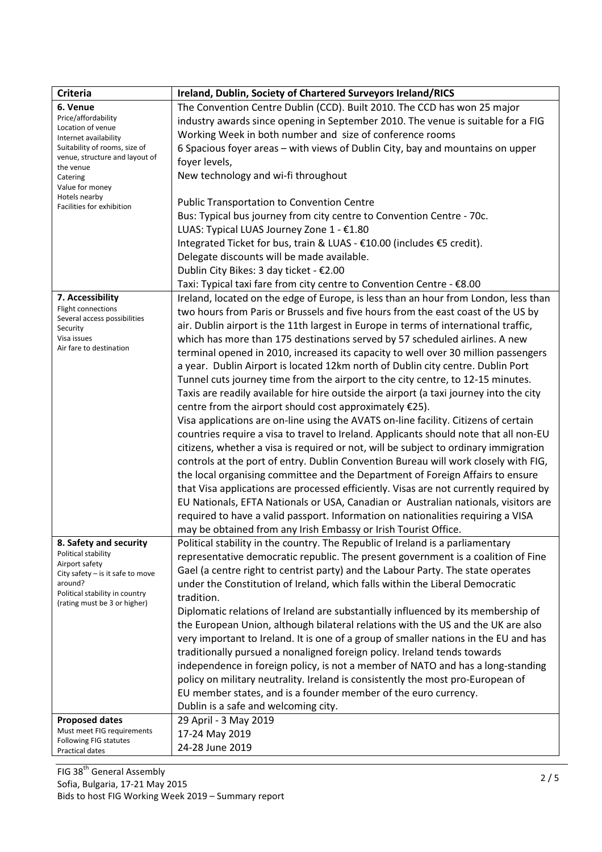| <b>Criteria</b>                                     | Ireland, Dublin, Society of Chartered Surveyors Ireland/RICS                           |
|-----------------------------------------------------|----------------------------------------------------------------------------------------|
| 6. Venue                                            | The Convention Centre Dublin (CCD). Built 2010. The CCD has won 25 major               |
| Price/affordability<br>Location of venue            | industry awards since opening in September 2010. The venue is suitable for a FIG       |
| Internet availability                               | Working Week in both number and size of conference rooms                               |
| Suitability of rooms, size of                       | 6 Spacious foyer areas - with views of Dublin City, bay and mountains on upper         |
| venue, structure and layout of<br>the venue         | foyer levels,                                                                          |
| Catering                                            | New technology and wi-fi throughout                                                    |
| Value for money                                     |                                                                                        |
| Hotels nearby<br>Facilities for exhibition          | <b>Public Transportation to Convention Centre</b>                                      |
|                                                     | Bus: Typical bus journey from city centre to Convention Centre - 70c.                  |
|                                                     | LUAS: Typical LUAS Journey Zone 1 - €1.80                                              |
|                                                     | Integrated Ticket for bus, train & LUAS - €10.00 (includes €5 credit).                 |
|                                                     | Delegate discounts will be made available.                                             |
|                                                     | Dublin City Bikes: 3 day ticket - €2.00                                                |
|                                                     | Taxi: Typical taxi fare from city centre to Convention Centre - €8.00                  |
| 7. Accessibility                                    | Ireland, located on the edge of Europe, is less than an hour from London, less than    |
| Flight connections                                  | two hours from Paris or Brussels and five hours from the east coast of the US by       |
| Several access possibilities                        | air. Dublin airport is the 11th largest in Europe in terms of international traffic,   |
| Security<br>Visa issues                             | which has more than 175 destinations served by 57 scheduled airlines. A new            |
| Air fare to destination                             | terminal opened in 2010, increased its capacity to well over 30 million passengers     |
|                                                     | a year. Dublin Airport is located 12km north of Dublin city centre. Dublin Port        |
|                                                     | Tunnel cuts journey time from the airport to the city centre, to 12-15 minutes.        |
|                                                     | Taxis are readily available for hire outside the airport (a taxi journey into the city |
|                                                     | centre from the airport should cost approximately €25).                                |
|                                                     | Visa applications are on-line using the AVATS on-line facility. Citizens of certain    |
|                                                     | countries require a visa to travel to Ireland. Applicants should note that all non-EU  |
|                                                     | citizens, whether a visa is required or not, will be subject to ordinary immigration   |
|                                                     | controls at the port of entry. Dublin Convention Bureau will work closely with FIG,    |
|                                                     | the local organising committee and the Department of Foreign Affairs to ensure         |
|                                                     | that Visa applications are processed efficiently. Visas are not currently required by  |
|                                                     | EU Nationals, EFTA Nationals or USA, Canadian or Australian nationals, visitors are    |
|                                                     | required to have a valid passport. Information on nationalities requiring a VISA       |
|                                                     | may be obtained from any Irish Embassy or Irish Tourist Office.                        |
| 8. Safety and security                              | Political stability in the country. The Republic of Ireland is a parliamentary         |
| Political stability                                 | representative democratic republic. The present government is a coalition of Fine      |
| Airport safety                                      | Gael (a centre right to centrist party) and the Labour Party. The state operates       |
| City safety $-$ is it safe to move<br>around?       | under the Constitution of Ireland, which falls within the Liberal Democratic           |
| Political stability in country                      | tradition.                                                                             |
| (rating must be 3 or higher)                        | Diplomatic relations of Ireland are substantially influenced by its membership of      |
|                                                     | the European Union, although bilateral relations with the US and the UK are also       |
|                                                     | very important to Ireland. It is one of a group of smaller nations in the EU and has   |
|                                                     | traditionally pursued a nonaligned foreign policy. Ireland tends towards               |
|                                                     | independence in foreign policy, is not a member of NATO and has a long-standing        |
|                                                     |                                                                                        |
|                                                     | policy on military neutrality. Ireland is consistently the most pro-European of        |
|                                                     | EU member states, and is a founder member of the euro currency.                        |
|                                                     | Dublin is a safe and welcoming city.                                                   |
| <b>Proposed dates</b><br>Must meet FIG requirements | 29 April - 3 May 2019                                                                  |
| Following FIG statutes                              | 17-24 May 2019                                                                         |
| Practical dates                                     | 24-28 June 2019                                                                        |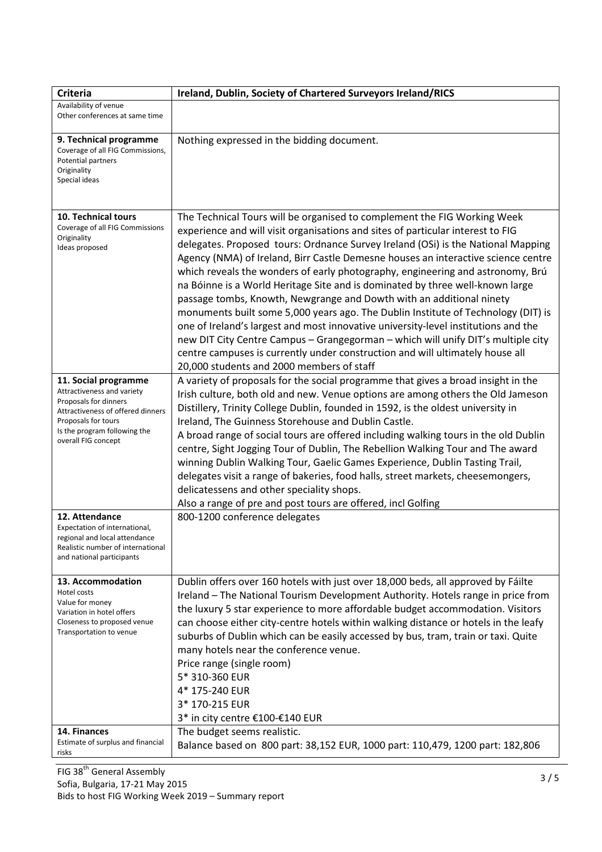| <b>Criteria</b>                                                                                                                                                                                | Ireland, Dublin, Society of Chartered Surveyors Ireland/RICS                                                                                                                                                                                                                                                                                                                                                                                                                                                                                                                                                                                                                                                                                                                                                                                                                                                                                                                 |
|------------------------------------------------------------------------------------------------------------------------------------------------------------------------------------------------|------------------------------------------------------------------------------------------------------------------------------------------------------------------------------------------------------------------------------------------------------------------------------------------------------------------------------------------------------------------------------------------------------------------------------------------------------------------------------------------------------------------------------------------------------------------------------------------------------------------------------------------------------------------------------------------------------------------------------------------------------------------------------------------------------------------------------------------------------------------------------------------------------------------------------------------------------------------------------|
| Availability of venue<br>Other conferences at same time                                                                                                                                        |                                                                                                                                                                                                                                                                                                                                                                                                                                                                                                                                                                                                                                                                                                                                                                                                                                                                                                                                                                              |
| 9. Technical programme<br>Coverage of all FIG Commissions,<br>Potential partners<br>Originality<br>Special ideas                                                                               | Nothing expressed in the bidding document.                                                                                                                                                                                                                                                                                                                                                                                                                                                                                                                                                                                                                                                                                                                                                                                                                                                                                                                                   |
| 10. Technical tours<br>Coverage of all FIG Commissions<br>Originality<br>Ideas proposed                                                                                                        | The Technical Tours will be organised to complement the FIG Working Week<br>experience and will visit organisations and sites of particular interest to FIG<br>delegates. Proposed tours: Ordnance Survey Ireland (OSi) is the National Mapping<br>Agency (NMA) of Ireland, Birr Castle Demesne houses an interactive science centre<br>which reveals the wonders of early photography, engineering and astronomy, Brú<br>na Bóinne is a World Heritage Site and is dominated by three well-known large<br>passage tombs, Knowth, Newgrange and Dowth with an additional ninety<br>monuments built some 5,000 years ago. The Dublin Institute of Technology (DIT) is<br>one of Ireland's largest and most innovative university-level institutions and the<br>new DIT City Centre Campus - Grangegorman - which will unify DIT's multiple city<br>centre campuses is currently under construction and will ultimately house all<br>20,000 students and 2000 members of staff |
| 11. Social programme<br>Attractiveness and variety<br>Proposals for dinners<br>Attractiveness of offered dinners<br>Proposals for tours<br>Is the program following the<br>overall FIG concept | A variety of proposals for the social programme that gives a broad insight in the<br>Irish culture, both old and new. Venue options are among others the Old Jameson<br>Distillery, Trinity College Dublin, founded in 1592, is the oldest university in<br>Ireland, The Guinness Storehouse and Dublin Castle.<br>A broad range of social tours are offered including walking tours in the old Dublin<br>centre, Sight Jogging Tour of Dublin, The Rebellion Walking Tour and The award<br>winning Dublin Walking Tour, Gaelic Games Experience, Dublin Tasting Trail,<br>delegates visit a range of bakeries, food halls, street markets, cheesemongers,<br>delicatessens and other speciality shops.<br>Also a range of pre and post tours are offered, incl Golfing                                                                                                                                                                                                      |
| 12. Attendance<br>Expectation of international,<br>regional and local attendance<br>Realistic number of international<br>and national participants                                             | 800-1200 conference delegates                                                                                                                                                                                                                                                                                                                                                                                                                                                                                                                                                                                                                                                                                                                                                                                                                                                                                                                                                |
| 13. Accommodation<br>Hotel costs<br>Value for money<br>Variation in hotel offers<br>Closeness to proposed venue<br>Transportation to venue                                                     | Dublin offers over 160 hotels with just over 18,000 beds, all approved by Fáilte<br>Ireland - The National Tourism Development Authority. Hotels range in price from<br>the luxury 5 star experience to more affordable budget accommodation. Visitors<br>can choose either city-centre hotels within walking distance or hotels in the leafy<br>suburbs of Dublin which can be easily accessed by bus, tram, train or taxi. Quite<br>many hotels near the conference venue.<br>Price range (single room)<br>5* 310-360 EUR<br>4* 175-240 EUR<br>3* 170-215 EUR<br>3* in city centre €100-€140 EUR                                                                                                                                                                                                                                                                                                                                                                           |
| 14. Finances<br>Estimate of surplus and financial<br>risks                                                                                                                                     | The budget seems realistic.<br>Balance based on 800 part: 38,152 EUR, 1000 part: 110,479, 1200 part: 182,806                                                                                                                                                                                                                                                                                                                                                                                                                                                                                                                                                                                                                                                                                                                                                                                                                                                                 |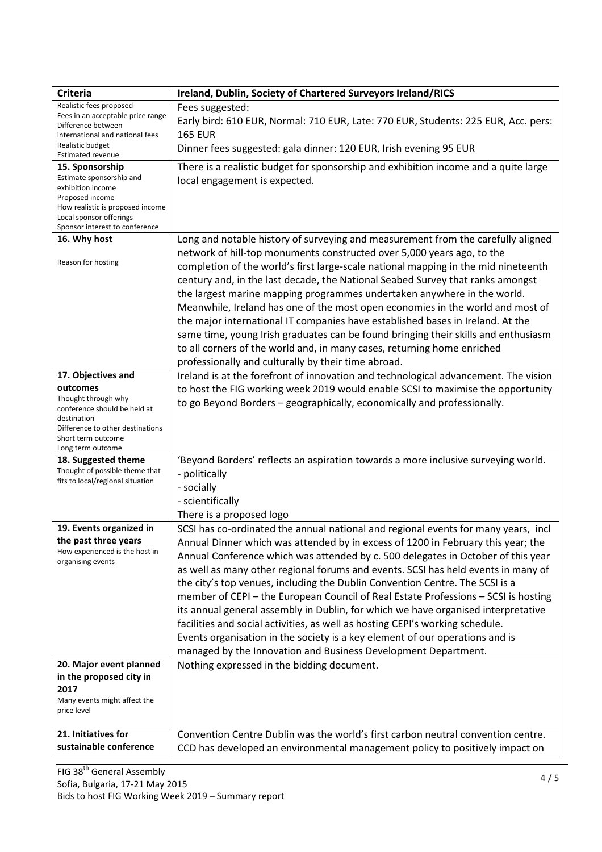| <b>Criteria</b>                                         | Ireland, Dublin, Society of Chartered Surveyors Ireland/RICS                        |
|---------------------------------------------------------|-------------------------------------------------------------------------------------|
| Realistic fees proposed                                 | Fees suggested:                                                                     |
| Fees in an acceptable price range<br>Difference between | Early bird: 610 EUR, Normal: 710 EUR, Late: 770 EUR, Students: 225 EUR, Acc. pers:  |
| international and national fees                         | <b>165 EUR</b>                                                                      |
| Realistic budget<br><b>Estimated revenue</b>            | Dinner fees suggested: gala dinner: 120 EUR, Irish evening 95 EUR                   |
| 15. Sponsorship                                         | There is a realistic budget for sponsorship and exhibition income and a quite large |
| Estimate sponsorship and                                | local engagement is expected.                                                       |
| exhibition income<br>Proposed income                    |                                                                                     |
| How realistic is proposed income                        |                                                                                     |
| Local sponsor offerings                                 |                                                                                     |
| Sponsor interest to conference<br>16. Why host          | Long and notable history of surveying and measurement from the carefully aligned    |
|                                                         | network of hill-top monuments constructed over 5,000 years ago, to the              |
| Reason for hosting                                      | completion of the world's first large-scale national mapping in the mid nineteenth  |
|                                                         | century and, in the last decade, the National Seabed Survey that ranks amongst      |
|                                                         | the largest marine mapping programmes undertaken anywhere in the world.             |
|                                                         | Meanwhile, Ireland has one of the most open economies in the world and most of      |
|                                                         | the major international IT companies have established bases in Ireland. At the      |
|                                                         | same time, young Irish graduates can be found bringing their skills and enthusiasm  |
|                                                         | to all corners of the world and, in many cases, returning home enriched             |
|                                                         | professionally and culturally by their time abroad.                                 |
| 17. Objectives and                                      | Ireland is at the forefront of innovation and technological advancement. The vision |
| outcomes                                                | to host the FIG working week 2019 would enable SCSI to maximise the opportunity     |
| Thought through why                                     | to go Beyond Borders - geographically, economically and professionally.             |
| conference should be held at<br>destination             |                                                                                     |
| Difference to other destinations                        |                                                                                     |
| Short term outcome                                      |                                                                                     |
| Long term outcome<br>18. Suggested theme                | 'Beyond Borders' reflects an aspiration towards a more inclusive surveying world.   |
| Thought of possible theme that                          | - politically                                                                       |
| fits to local/regional situation                        | - socially                                                                          |
|                                                         | - scientifically                                                                    |
|                                                         | There is a proposed logo                                                            |
| 19. Events organized in                                 | SCSI has co-ordinated the annual national and regional events for many years, incl  |
| the past three years                                    | Annual Dinner which was attended by in excess of 1200 in February this year; the    |
| How experienced is the host in                          | Annual Conference which was attended by c. 500 delegates in October of this year    |
| organising events                                       | as well as many other regional forums and events. SCSI has held events in many of   |
|                                                         | the city's top venues, including the Dublin Convention Centre. The SCSI is a        |
|                                                         | member of CEPI - the European Council of Real Estate Professions - SCSI is hosting  |
|                                                         | its annual general assembly in Dublin, for which we have organised interpretative   |
|                                                         | facilities and social activities, as well as hosting CEPI's working schedule.       |
|                                                         | Events organisation in the society is a key element of our operations and is        |
|                                                         | managed by the Innovation and Business Development Department.                      |
| 20. Major event planned                                 | Nothing expressed in the bidding document.                                          |
| in the proposed city in                                 |                                                                                     |
| 2017                                                    |                                                                                     |
| Many events might affect the<br>price level             |                                                                                     |
|                                                         |                                                                                     |
| 21. Initiatives for                                     | Convention Centre Dublin was the world's first carbon neutral convention centre.    |
| sustainable conference                                  | CCD has developed an environmental management policy to positively impact on        |